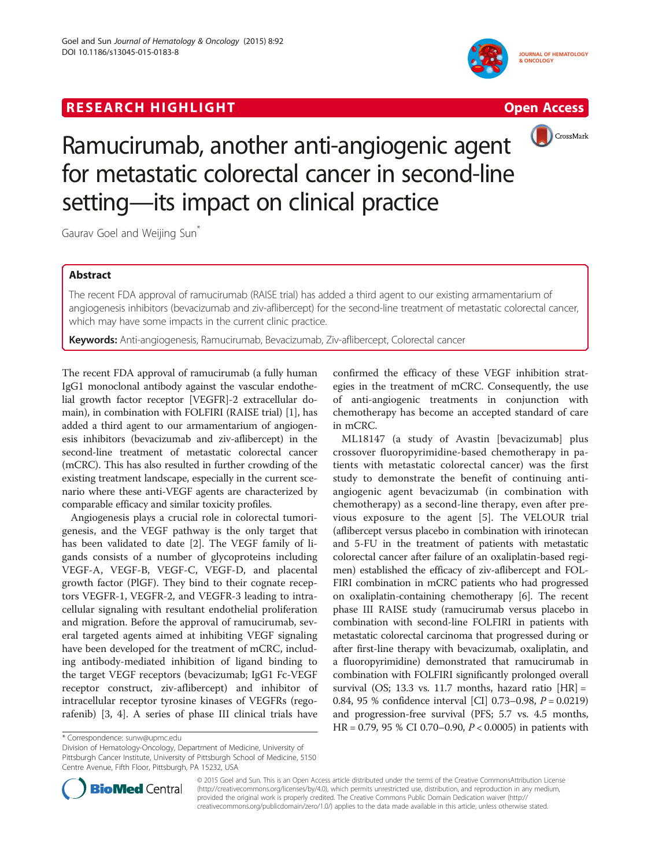## **RESEARCH HIGHLIGHT** THE OPEN ACCESS OPEN ACCESS







# Ramucirumab, another anti-angiogenic agent for metastatic colorectal cancer in second-line setting—its impact on clinical practice

Gaurav Goel and Weijing Sun<sup>\*</sup>

### Abstract

The recent FDA approval of ramucirumab (RAISE trial) has added a third agent to our existing armamentarium of angiogenesis inhibitors (bevacizumab and ziv-aflibercept) for the second-line treatment of metastatic colorectal cancer, which may have some impacts in the current clinic practice.

Keywords: Anti-angiogenesis, Ramucirumab, Bevacizumab, Ziv-aflibercept, Colorectal cancer

The recent FDA approval of ramucirumab (a fully human IgG1 monoclonal antibody against the vascular endothelial growth factor receptor [VEGFR]-2 extracellular domain), in combination with FOLFIRI (RAISE trial) [\[1](#page-2-0)], has added a third agent to our armamentarium of angiogenesis inhibitors (bevacizumab and ziv-aflibercept) in the second-line treatment of metastatic colorectal cancer (mCRC). This has also resulted in further crowding of the existing treatment landscape, especially in the current scenario where these anti-VEGF agents are characterized by comparable efficacy and similar toxicity profiles.

Angiogenesis plays a crucial role in colorectal tumorigenesis, and the VEGF pathway is the only target that has been validated to date [[2\]](#page-2-0). The VEGF family of ligands consists of a number of glycoproteins including VEGF-A, VEGF-B, VEGF-C, VEGF-D, and placental growth factor (PlGF). They bind to their cognate receptors VEGFR-1, VEGFR-2, and VEGFR-3 leading to intracellular signaling with resultant endothelial proliferation and migration. Before the approval of ramucirumab, several targeted agents aimed at inhibiting VEGF signaling have been developed for the treatment of mCRC, including antibody-mediated inhibition of ligand binding to the target VEGF receptors (bevacizumab; IgG1 Fc-VEGF receptor construct, ziv-aflibercept) and inhibitor of intracellular receptor tyrosine kinases of VEGFRs (regorafenib) [[3, 4](#page-2-0)]. A series of phase III clinical trials have

confirmed the efficacy of these VEGF inhibition strategies in the treatment of mCRC. Consequently, the use of anti-angiogenic treatments in conjunction with chemotherapy has become an accepted standard of care in mCRC.

ML18147 (a study of Avastin [bevacizumab] plus crossover fluoropyrimidine-based chemotherapy in patients with metastatic colorectal cancer) was the first study to demonstrate the benefit of continuing antiangiogenic agent bevacizumab (in combination with chemotherapy) as a second-line therapy, even after previous exposure to the agent [\[5](#page-2-0)]. The VELOUR trial (aflibercept versus placebo in combination with irinotecan and 5-FU in the treatment of patients with metastatic colorectal cancer after failure of an oxaliplatin-based regimen) established the efficacy of ziv-aflibercept and FOL-FIRI combination in mCRC patients who had progressed on oxaliplatin-containing chemotherapy [[6](#page-2-0)]. The recent phase III RAISE study (ramucirumab versus placebo in combination with second-line FOLFIRI in patients with metastatic colorectal carcinoma that progressed during or after first-line therapy with bevacizumab, oxaliplatin, and a fluoropyrimidine) demonstrated that ramucirumab in combination with FOLFIRI significantly prolonged overall survival (OS; 13.3 vs. 11.7 months, hazard ratio  $[HR] =$ 0.84, 95 % confidence interval [CI] 0.73–0.98, P = 0.0219) and progression-free survival (PFS; 5.7 vs. 4.5 months,  $HR = 0.79$ , 95 % CI 0.70–0.90,  $P < 0.0005$ ) in patients with

Division of Hematology-Oncology, Department of Medicine, University of Pittsburgh Cancer Institute, University of Pittsburgh School of Medicine, 5150 Centre Avenue, Fifth Floor, Pittsburgh, PA 15232, USA



© 2015 Goel and Sun. This is an Open Access article distributed under the terms of the Creative CommonsAttribution License (http://creativecommons.org/licenses/by/4.0), which permits unrestricted use, distribution, and reproduction in any medium, provided the original work is properly credited. The Creative Commons Public Domain Dedication waiver (http:// creativecommons.org/publicdomain/zero/1.0/) applies to the data made available in this article, unless otherwise stated.

<sup>\*</sup> Correspondence: [sunw@upmc.edu](mailto:sunw@upmc.edu)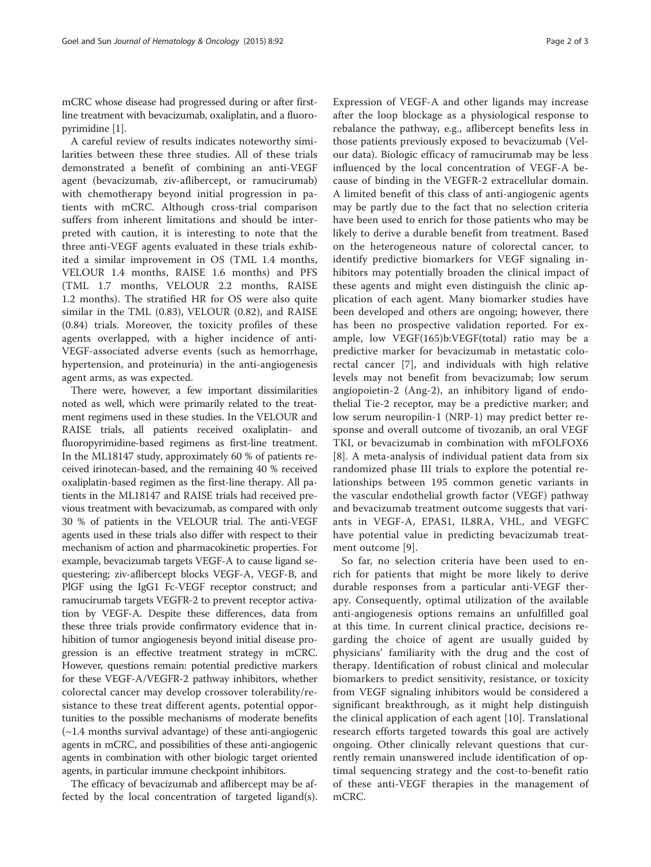mCRC whose disease had progressed during or after firstline treatment with bevacizumab, oxaliplatin, and a fluoropyrimidine [[1](#page-2-0)].

A careful review of results indicates noteworthy similarities between these three studies. All of these trials demonstrated a benefit of combining an anti-VEGF agent (bevacizumab, ziv-aflibercept, or ramucirumab) with chemotherapy beyond initial progression in patients with mCRC. Although cross-trial comparison suffers from inherent limitations and should be interpreted with caution, it is interesting to note that the three anti-VEGF agents evaluated in these trials exhibited a similar improvement in OS (TML 1.4 months, VELOUR 1.4 months, RAISE 1.6 months) and PFS (TML 1.7 months, VELOUR 2.2 months, RAISE 1.2 months). The stratified HR for OS were also quite similar in the TML (0.83), VELOUR (0.82), and RAISE (0.84) trials. Moreover, the toxicity profiles of these agents overlapped, with a higher incidence of anti-VEGF-associated adverse events (such as hemorrhage, hypertension, and proteinuria) in the anti-angiogenesis agent arms, as was expected.

There were, however, a few important dissimilarities noted as well, which were primarily related to the treatment regimens used in these studies. In the VELOUR and RAISE trials, all patients received oxaliplatin- and fluoropyrimidine-based regimens as first-line treatment. In the ML18147 study, approximately 60 % of patients received irinotecan-based, and the remaining 40 % received oxaliplatin-based regimen as the first-line therapy. All patients in the ML18147 and RAISE trials had received previous treatment with bevacizumab, as compared with only 30 % of patients in the VELOUR trial. The anti-VEGF agents used in these trials also differ with respect to their mechanism of action and pharmacokinetic properties. For example, bevacizumab targets VEGF-A to cause ligand sequestering; ziv-aflibercept blocks VEGF-A, VEGF-B, and PlGF using the IgG1 Fc-VEGF receptor construct; and ramucirumab targets VEGFR-2 to prevent receptor activation by VEGF-A. Despite these differences, data from these three trials provide confirmatory evidence that inhibition of tumor angiogenesis beyond initial disease progression is an effective treatment strategy in mCRC. However, questions remain: potential predictive markers for these VEGF-A/VEGFR-2 pathway inhibitors, whether colorectal cancer may develop crossover tolerability/resistance to these treat different agents, potential opportunities to the possible mechanisms of moderate benefits (~1.4 months survival advantage) of these anti-angiogenic agents in mCRC, and possibilities of these anti-angiogenic agents in combination with other biologic target oriented agents, in particular immune checkpoint inhibitors.

The efficacy of bevacizumab and aflibercept may be affected by the local concentration of targeted ligand(s).

Expression of VEGF-A and other ligands may increase after the loop blockage as a physiological response to rebalance the pathway, e.g., aflibercept benefits less in those patients previously exposed to bevacizumab (Velour data). Biologic efficacy of ramucirumab may be less influenced by the local concentration of VEGF-A because of binding in the VEGFR-2 extracellular domain. A limited benefit of this class of anti-angiogenic agents may be partly due to the fact that no selection criteria have been used to enrich for those patients who may be likely to derive a durable benefit from treatment. Based on the heterogeneous nature of colorectal cancer, to identify predictive biomarkers for VEGF signaling inhibitors may potentially broaden the clinical impact of these agents and might even distinguish the clinic application of each agent. Many biomarker studies have been developed and others are ongoing; however, there has been no prospective validation reported. For example, low VEGF(165)b:VEGF(total) ratio may be a predictive marker for bevacizumab in metastatic colorectal cancer [[7\]](#page-2-0), and individuals with high relative levels may not benefit from bevacizumab; low serum angiopoietin-2 (Ang-2), an inhibitory ligand of endothelial Tie-2 receptor, may be a predictive marker; and low serum neuropilin-1 (NRP-1) may predict better response and overall outcome of tivozanib, an oral VEGF TKI, or bevacizumab in combination with mFOLFOX6 [[8](#page-2-0)]. A meta-analysis of individual patient data from six randomized phase III trials to explore the potential relationships between 195 common genetic variants in the vascular endothelial growth factor (VEGF) pathway and bevacizumab treatment outcome suggests that variants in VEGF-A, EPAS1, IL8RA, VHL, and VEGFC have potential value in predicting bevacizumab treatment outcome [[9\]](#page-2-0).

So far, no selection criteria have been used to enrich for patients that might be more likely to derive durable responses from a particular anti-VEGF therapy. Consequently, optimal utilization of the available anti-angiogenesis options remains an unfulfilled goal at this time. In current clinical practice, decisions regarding the choice of agent are usually guided by physicians' familiarity with the drug and the cost of therapy. Identification of robust clinical and molecular biomarkers to predict sensitivity, resistance, or toxicity from VEGF signaling inhibitors would be considered a significant breakthrough, as it might help distinguish the clinical application of each agent [[10\]](#page-2-0). Translational research efforts targeted towards this goal are actively ongoing. Other clinically relevant questions that currently remain unanswered include identification of optimal sequencing strategy and the cost-to-benefit ratio of these anti-VEGF therapies in the management of mCRC.